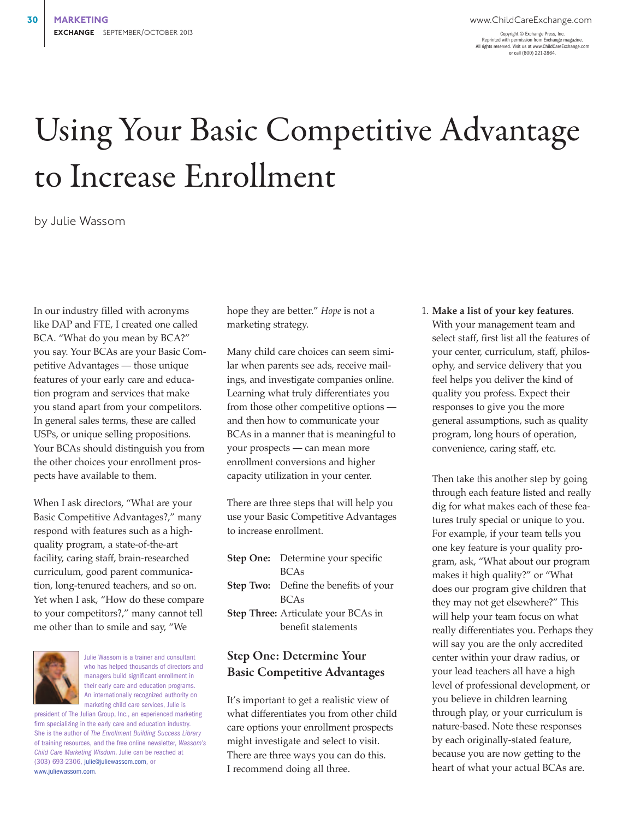Copyright © Exchange Press, Inc. Reprinted with permission from Exchange magazine. All rights reserved. Visit us at www.ChildCareExchange.com or call (800) 221-2864.

## Using Your Basic Competitive Advantage to Increase Enrollment

by Julie Wassom

In our industry filled with acronyms like DAP and FTE, I created one called BCA. "What do you mean by BCA?" you say. Your BCAs are your Basic Competitive Advantages — those unique features of your early care and education program and services that make you stand apart from your competitors. In general sales terms, these are called USPs, or unique selling propositions. Your BCAs should distinguish you from the other choices your enrollment prospects have available to them.

When I ask directors, "What are your Basic Competitive Advantages?," many respond with features such as a highquality program, a state-of-the-art facility, caring staff, brain-researched curriculum, good parent communication, long-tenured teachers, and so on. Yet when I ask, "How do these compare to your competitors?," many cannot tell me other than to smile and say, "We



Julie Wassom is a trainer and consultant who has helped thousands of directors and managers build significant enrollment in their early care and education programs. An internationally recognized authority on marketing child care services, Julie is

president of The Julian Group, Inc., an experienced marketing firm specializing in the early care and education industry. She is the author of *The Enrollment Building Success Library* of training resources, and the free online newsletter, *Wassom's Child Care Marketing Wisdom*. Julie can be reached at (303) 693-2306, julie@juliewassom.com, or www.juliewassom.com.

hope they are better." *Hope* is not a marketing strategy.

Many child care choices can seem similar when parents see ads, receive mailings, and investigate companies online. Learning what truly differentiates you from those other competitive options and then how to communicate your BCAs in a manner that is meaningful to your prospects — can mean more enrollment conversions and higher capacity utilization in your center.

There are three steps that will help you use your Basic Competitive Advantages to increase enrollment.

| Step One: Determine your specific            |
|----------------------------------------------|
| <b>BCAs</b>                                  |
| <b>Step Two:</b> Define the benefits of your |
| <b>BCAs</b>                                  |
| Step Three: Articulate your BCAs in          |
| benefit statements                           |
|                                              |

## Step One: Determine Your Basic Competitive Advantages

It's important to get a realistic view of what differentiates you from other child care options your enrollment prospects might investigate and select to visit. There are three ways you can do this. I recommend doing all three.

1. **Make a list of your key features**. With your management team and select staff, first list all the features of your center, curriculum, staff, philosophy, and service delivery that you feel helps you deliver the kind of quality you profess. Expect their responses to give you the more general assumptions, such as quality program, long hours of operation, convenience, caring staff, etc.

Then take this another step by going through each feature listed and really dig for what makes each of these features truly special or unique to you. For example, if your team tells you one key feature is your quality program, ask, "What about our program makes it high quality?" or "What does our program give children that they may not get elsewhere?" This will help your team focus on what really differentiates you. Perhaps they will say you are the only accredited center within your draw radius, or your lead teachers all have a high level of professional development, or you believe in children learning through play, or your curriculum is nature-based. Note these responses by each originally-stated feature, because you are now getting to the heart of what your actual BCAs are.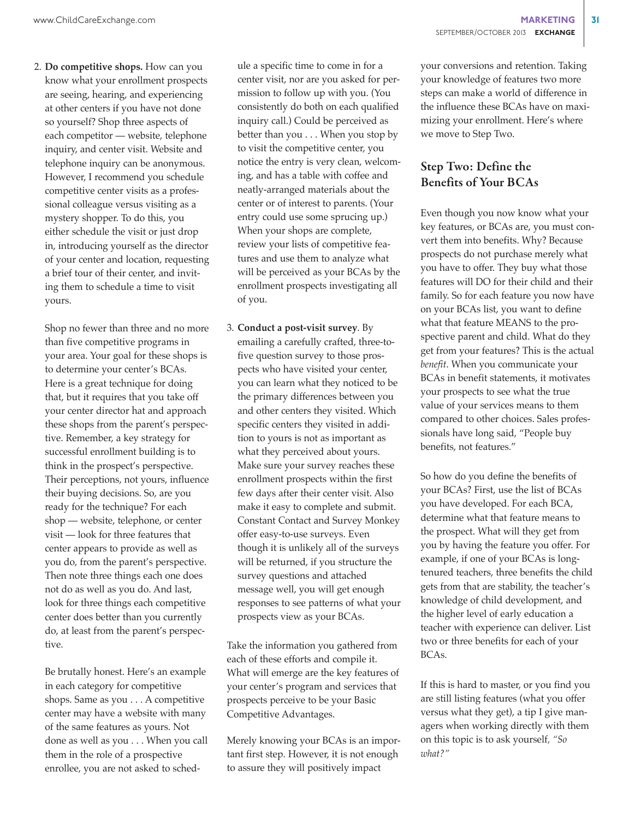2. **Do competitive shops.** How can you know what your enrollment prospects are seeing, hearing, and experiencing at other centers if you have not done so yourself? Shop three aspects of each competitor — website, telephone inquiry, and center visit. Website and telephone inquiry can be anonymous. However, I recommend you schedule competitive center visits as a professional colleague versus visiting as a mystery shopper. To do this, you either schedule the visit or just drop in, introducing yourself as the director of your center and location, requesting a brief tour of their center, and inviting them to schedule a time to visit yours.

Shop no fewer than three and no more than five competitive programs in your area. Your goal for these shops is to determine your center's BCAs. Here is a great technique for doing that, but it requires that you take off your center director hat and approach these shops from the parent's perspective. Remember, a key strategy for successful enrollment building is to think in the prospect's perspective. Their perceptions, not yours, influence their buying decisions. So, are you ready for the technique? For each shop — website, telephone, or center visit — look for three features that center appears to provide as well as you do, from the parent's perspective. Then note three things each one does not do as well as you do. And last, look for three things each competitive center does better than you currently do, at least from the parent's perspective.

Be brutally honest. Here's an example in each category for competitive shops. Same as you . . . A competitive center may have a website with many of the same features as yours. Not done as well as you . . . When you call them in the role of a prospective enrollee, you are not asked to schedule a specific time to come in for a center visit, nor are you asked for permission to follow up with you. (You consistently do both on each qualified inquiry call.) Could be perceived as better than you . . . When you stop by to visit the competitive center, you notice the entry is very clean, welcoming, and has a table with coffee and neatly-arranged materials about the center or of interest to parents. (Your entry could use some sprucing up.) When your shops are complete, review your lists of competitive features and use them to analyze what will be perceived as your BCAs by the enrollment prospects investigating all of you.

3. **Conduct a post-visit survey**. By emailing a carefully crafted, three-tofive question survey to those prospects who have visited your center, you can learn what they noticed to be the primary differences between you and other centers they visited. Which specific centers they visited in addition to yours is not as important as what they perceived about yours. Make sure your survey reaches these enrollment prospects within the first few days after their center visit. Also make it easy to complete and submit. Constant Contact and Survey Monkey offer easy-to-use surveys. Even though it is unlikely all of the surveys will be returned, if you structure the survey questions and attached message well, you will get enough responses to see patterns of what your prospects view as your BCAs.

Take the information you gathered from each of these efforts and compile it. What will emerge are the key features of your center's program and services that prospects perceive to be your Basic Competitive Advantages.

Merely knowing your BCAs is an important first step. However, it is not enough to assure they will positively impact

your conversions and retention. Taking your knowledge of features two more steps can make a world of difference in the influence these BCAs have on maximizing your enrollment. Here's where we move to Step Two.

## Step Two: Define the Benefits of Your BCAs

Even though you now know what your key features, or BCAs are, you must convert them into benefits. Why? Because prospects do not purchase merely what you have to offer. They buy what those features will DO for their child and their family. So for each feature you now have on your BCAs list, you want to define what that feature MEANS to the prospective parent and child. What do they get from your features? This is the actual *benefit*. When you communicate your BCAs in benefit statements, it motivates your prospects to see what the true value of your services means to them compared to other choices. Sales professionals have long said, "People buy benefits, not features."

So how do you define the benefits of your BCAs? First, use the list of BCAs you have developed. For each BCA, determine what that feature means to the prospect. What will they get from you by having the feature you offer. For example, if one of your BCAs is longtenured teachers, three benefits the child gets from that are stability, the teacher's knowledge of child development, and the higher level of early education a teacher with experience can deliver. List two or three benefits for each of your BCAs.

If this is hard to master, or you find you are still listing features (what you offer versus what they get), a tip I give managers when working directly with them on this topic is to ask yourself*, "So what?"*